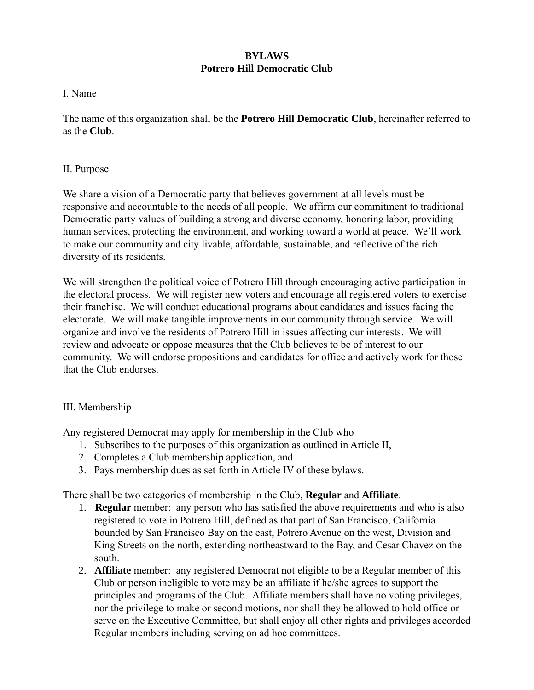# **BYLAWS Potrero Hill Democratic Club**

### I. Name

The name of this organization shall be the **Potrero Hill Democratic Club**, hereinafter referred to as the **Club**.

## II. Purpose

We share a vision of a Democratic party that believes government at all levels must be responsive and accountable to the needs of all people. We affirm our commitment to traditional Democratic party values of building a strong and diverse economy, honoring labor, providing human services, protecting the environment, and working toward a world at peace. We'll work to make our community and city livable, affordable, sustainable, and reflective of the rich diversity of its residents.

We will strengthen the political voice of Potrero Hill through encouraging active participation in the electoral process. We will register new voters and encourage all registered voters to exercise their franchise. We will conduct educational programs about candidates and issues facing the electorate. We will make tangible improvements in our community through service. We will organize and involve the residents of Potrero Hill in issues affecting our interests. We will review and advocate or oppose measures that the Club believes to be of interest to our community. We will endorse propositions and candidates for office and actively work for those that the Club endorses.

## III. Membership

Any registered Democrat may apply for membership in the Club who

- 1. Subscribes to the purposes of this organization as outlined in Article II,
- 2. Completes a Club membership application, and
- 3. Pays membership dues as set forth in Article IV of these bylaws.

There shall be two categories of membership in the Club, **Regular** and **Affiliate**.

- 1. **Regular** member: any person who has satisfied the above requirements and who is also registered to vote in Potrero Hill, defined as that part of San Francisco, California bounded by San Francisco Bay on the east, Potrero Avenue on the west, Division and King Streets on the north, extending northeastward to the Bay, and Cesar Chavez on the south.
- 2. **Affiliate** member: any registered Democrat not eligible to be a Regular member of this Club or person ineligible to vote may be an affiliate if he/she agrees to support the principles and programs of the Club. Affiliate members shall have no voting privileges, nor the privilege to make or second motions, nor shall they be allowed to hold office or serve on the Executive Committee, but shall enjoy all other rights and privileges accorded Regular members including serving on ad hoc committees.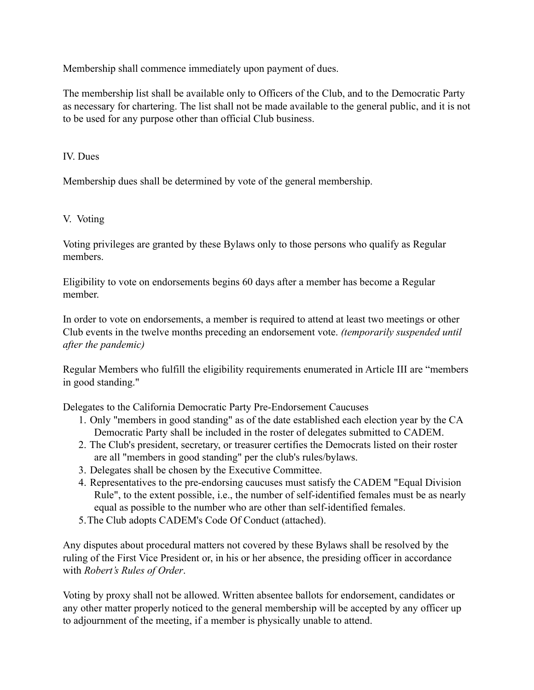Membership shall commence immediately upon payment of dues.

The membership list shall be available only to Officers of the Club, and to the Democratic Party as necessary for chartering. The list shall not be made available to the general public, and it is not to be used for any purpose other than official Club business.

IV. Dues

Membership dues shall be determined by vote of the general membership.

# V. Voting

Voting privileges are granted by these Bylaws only to those persons who qualify as Regular members.

Eligibility to vote on endorsements begins 60 days after a member has become a Regular member.

In order to vote on endorsements, a member is required to attend at least two meetings or other Club events in the twelve months preceding an endorsement vote. *(temporarily suspended until after the pandemic)*

Regular Members who fulfill the eligibility requirements enumerated in Article III are "members in good standing."

Delegates to the California Democratic Party Pre-Endorsement Caucuses

- 1. Only "members in good standing" as of the date established each election year by the CA Democratic Party shall be included in the roster of delegates submitted to CADEM.
- 2. The Club's president, secretary, or treasurer certifies the Democrats listed on their roster are all "members in good standing" per the club's rules/bylaws.
- 3. Delegates shall be chosen by the Executive Committee.
- 4. Representatives to the pre-endorsing caucuses must satisfy the CADEM "Equal Division Rule", to the extent possible, i.e., the number of self-identified females must be as nearly equal as possible to the number who are other than self-identified females.
- 5.The Club adopts CADEM's Code Of Conduct (attached).

Any disputes about procedural matters not covered by these Bylaws shall be resolved by the ruling of the First Vice President or, in his or her absence, the presiding officer in accordance with *Robert's Rules of Order*.

Voting by proxy shall not be allowed. Written absentee ballots for endorsement, candidates or any other matter properly noticed to the general membership will be accepted by any officer up to adjournment of the meeting, if a member is physically unable to attend.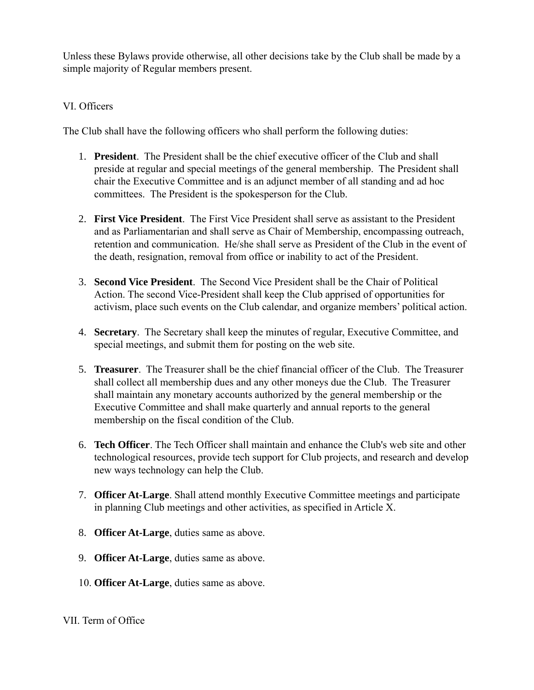Unless these Bylaws provide otherwise, all other decisions take by the Club shall be made by a simple majority of Regular members present.

## VI. Officers

The Club shall have the following officers who shall perform the following duties:

- 1. **President**. The President shall be the chief executive officer of the Club and shall preside at regular and special meetings of the general membership. The President shall chair the Executive Committee and is an adjunct member of all standing and ad hoc committees. The President is the spokesperson for the Club.
- 2. **First Vice President**. The First Vice President shall serve as assistant to the President and as Parliamentarian and shall serve as Chair of Membership, encompassing outreach, retention and communication. He/she shall serve as President of the Club in the event of the death, resignation, removal from office or inability to act of the President.
- 3. **Second Vice President**. The Second Vice President shall be the Chair of Political Action. The second Vice-President shall keep the Club apprised of opportunities for activism, place such events on the Club calendar, and organize members' political action.
- 4. **Secretary**. The Secretary shall keep the minutes of regular, Executive Committee, and special meetings, and submit them for posting on the web site.
- 5. **Treasurer**. The Treasurer shall be the chief financial officer of the Club. The Treasurer shall collect all membership dues and any other moneys due the Club. The Treasurer shall maintain any monetary accounts authorized by the general membership or the Executive Committee and shall make quarterly and annual reports to the general membership on the fiscal condition of the Club.
- 6. **Tech Officer**. The Tech Officer shall maintain and enhance the Club's web site and other technological resources, provide tech support for Club projects, and research and develop new ways technology can help the Club.
- 7. **Officer At-Large**. Shall attend monthly Executive Committee meetings and participate in planning Club meetings and other activities, as specified in Article X.
- 8. **Officer At-Large**, duties same as above.
- 9. **Officer At-Large**, duties same as above.
- 10. **Officer At-Large**, duties same as above.

## VII. Term of Office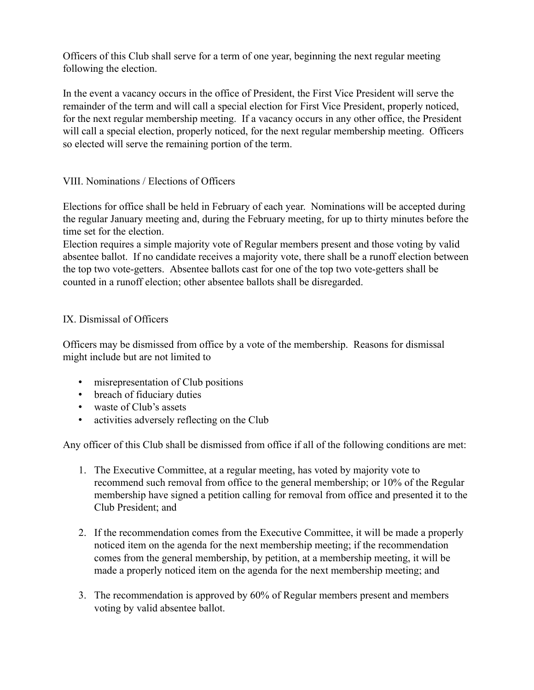Officers of this Club shall serve for a term of one year, beginning the next regular meeting following the election.

In the event a vacancy occurs in the office of President, the First Vice President will serve the remainder of the term and will call a special election for First Vice President, properly noticed, for the next regular membership meeting. If a vacancy occurs in any other office, the President will call a special election, properly noticed, for the next regular membership meeting. Officers so elected will serve the remaining portion of the term.

# VIII. Nominations / Elections of Officers

Elections for office shall be held in February of each year. Nominations will be accepted during the regular January meeting and, during the February meeting, for up to thirty minutes before the time set for the election.

Election requires a simple majority vote of Regular members present and those voting by valid absentee ballot. If no candidate receives a majority vote, there shall be a runoff election between the top two vote-getters. Absentee ballots cast for one of the top two vote-getters shall be counted in a runoff election; other absentee ballots shall be disregarded.

## IX. Dismissal of Officers

Officers may be dismissed from office by a vote of the membership. Reasons for dismissal might include but are not limited to

- misrepresentation of Club positions
- breach of fiduciary duties
- waste of Club's assets
- activities adversely reflecting on the Club

Any officer of this Club shall be dismissed from office if all of the following conditions are met:

- 1. The Executive Committee, at a regular meeting, has voted by majority vote to recommend such removal from office to the general membership; or 10% of the Regular membership have signed a petition calling for removal from office and presented it to the Club President; and
- 2. If the recommendation comes from the Executive Committee, it will be made a properly noticed item on the agenda for the next membership meeting; if the recommendation comes from the general membership, by petition, at a membership meeting, it will be made a properly noticed item on the agenda for the next membership meeting; and
- 3. The recommendation is approved by 60% of Regular members present and members voting by valid absentee ballot.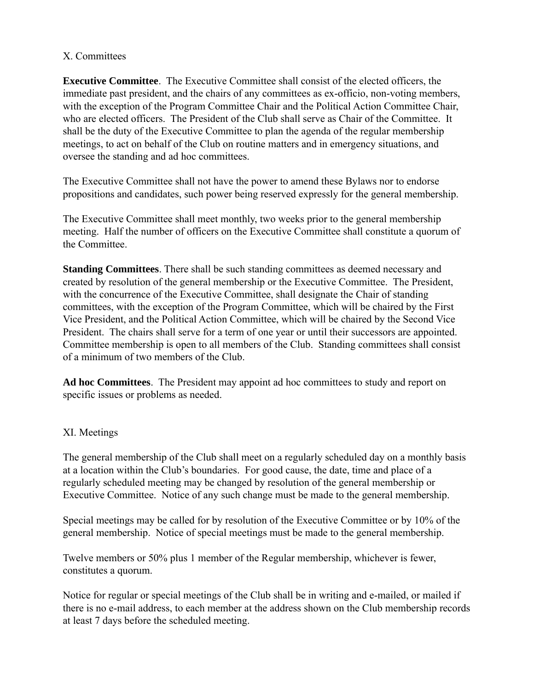### X. Committees

**Executive Committee**. The Executive Committee shall consist of the elected officers, the immediate past president, and the chairs of any committees as ex-officio, non-voting members, with the exception of the Program Committee Chair and the Political Action Committee Chair, who are elected officers. The President of the Club shall serve as Chair of the Committee. It shall be the duty of the Executive Committee to plan the agenda of the regular membership meetings, to act on behalf of the Club on routine matters and in emergency situations, and oversee the standing and ad hoc committees.

The Executive Committee shall not have the power to amend these Bylaws nor to endorse propositions and candidates, such power being reserved expressly for the general membership.

The Executive Committee shall meet monthly, two weeks prior to the general membership meeting. Half the number of officers on the Executive Committee shall constitute a quorum of the Committee.

**Standing Committees**. There shall be such standing committees as deemed necessary and created by resolution of the general membership or the Executive Committee. The President, with the concurrence of the Executive Committee, shall designate the Chair of standing committees, with the exception of the Program Committee, which will be chaired by the First Vice President, and the Political Action Committee, which will be chaired by the Second Vice President. The chairs shall serve for a term of one year or until their successors are appointed. Committee membership is open to all members of the Club. Standing committees shall consist of a minimum of two members of the Club.

**Ad hoc Committees**. The President may appoint ad hoc committees to study and report on specific issues or problems as needed.

## XI. Meetings

The general membership of the Club shall meet on a regularly scheduled day on a monthly basis at a location within the Club's boundaries. For good cause, the date, time and place of a regularly scheduled meeting may be changed by resolution of the general membership or Executive Committee. Notice of any such change must be made to the general membership.

Special meetings may be called for by resolution of the Executive Committee or by 10% of the general membership. Notice of special meetings must be made to the general membership.

Twelve members or 50% plus 1 member of the Regular membership, whichever is fewer, constitutes a quorum.

Notice for regular or special meetings of the Club shall be in writing and e-mailed, or mailed if there is no e-mail address, to each member at the address shown on the Club membership records at least 7 days before the scheduled meeting.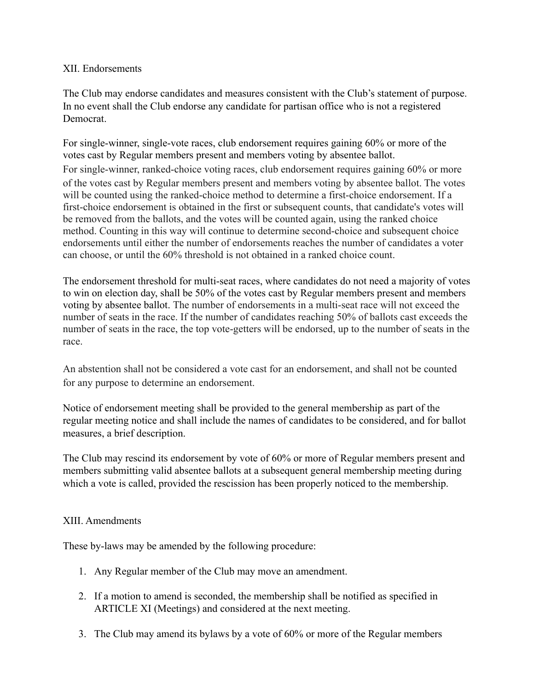### XII. Endorsements

The Club may endorse candidates and measures consistent with the Club's statement of purpose. In no event shall the Club endorse any candidate for partisan office who is not a registered Democrat.

For single-winner, single-vote races, club endorsement requires gaining 60% or more of the votes cast by Regular members present and members voting by absentee ballot. For single-winner, ranked-choice voting races, club endorsement requires gaining 60% or more of the votes cast by Regular members present and members voting by absentee ballot. The votes will be counted using the ranked-choice method to determine a first-choice endorsement. If a first-choice endorsement is obtained in the first or subsequent counts, that candidate's votes will be removed from the ballots, and the votes will be counted again, using the ranked choice method. Counting in this way will continue to determine second-choice and subsequent choice endorsements until either the number of endorsements reaches the number of candidates a voter can choose, or until the 60% threshold is not obtained in a ranked choice count.

The endorsement threshold for multi-seat races, where candidates do not need a majority of votes to win on election day, shall be 50% of the votes cast by Regular members present and members voting by absentee ballot. The number of endorsements in a multi-seat race will not exceed the number of seats in the race. If the number of candidates reaching 50% of ballots cast exceeds the number of seats in the race, the top vote-getters will be endorsed, up to the number of seats in the race.

An abstention shall not be considered a vote cast for an endorsement, and shall not be counted for any purpose to determine an endorsement.

Notice of endorsement meeting shall be provided to the general membership as part of the regular meeting notice and shall include the names of candidates to be considered, and for ballot measures, a brief description.

The Club may rescind its endorsement by vote of 60% or more of Regular members present and members submitting valid absentee ballots at a subsequent general membership meeting during which a vote is called, provided the rescission has been properly noticed to the membership.

## XIII. Amendments

These by-laws may be amended by the following procedure:

- 1. Any Regular member of the Club may move an amendment.
- 2. If a motion to amend is seconded, the membership shall be notified as specified in ARTICLE XI (Meetings) and considered at the next meeting.
- 3. The Club may amend its bylaws by a vote of 60% or more of the Regular members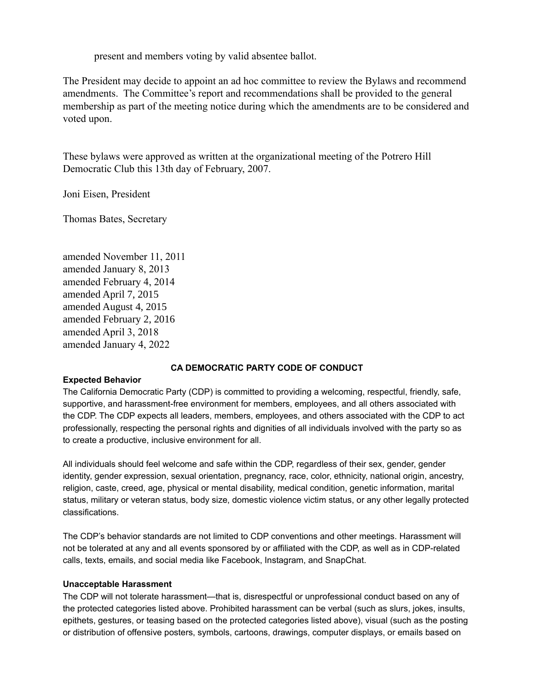present and members voting by valid absentee ballot.

The President may decide to appoint an ad hoc committee to review the Bylaws and recommend amendments. The Committee's report and recommendations shall be provided to the general membership as part of the meeting notice during which the amendments are to be considered and voted upon.

These bylaws were approved as written at the organizational meeting of the Potrero Hill Democratic Club this 13th day of February, 2007.

Joni Eisen, President

Thomas Bates, Secretary

amended November 11, 2011 amended January 8, 2013 amended February 4, 2014 amended April 7, 2015 amended August 4, 2015 amended February 2, 2016 amended April 3, 2018 amended January 4, 2022

### **CA DEMOCRATIC PARTY CODE OF CONDUCT**

### **Expected Behavior**

The California Democratic Party (CDP) is committed to providing a welcoming, respectful, friendly, safe, supportive, and harassment-free environment for members, employees, and all others associated with the CDP. The CDP expects all leaders, members, employees, and others associated with the CDP to act professionally, respecting the personal rights and dignities of all individuals involved with the party so as to create a productive, inclusive environment for all.

All individuals should feel welcome and safe within the CDP, regardless of their sex, gender, gender identity, gender expression, sexual orientation, pregnancy, race, color, ethnicity, national origin, ancestry, religion, caste, creed, age, physical or mental disability, medical condition, genetic information, marital status, military or veteran status, body size, domestic violence victim status, or any other legally protected classifications.

The CDP's behavior standards are not limited to CDP conventions and other meetings. Harassment will not be tolerated at any and all events sponsored by or affiliated with the CDP, as well as in CDP-related calls, texts, emails, and social media like Facebook, Instagram, and SnapChat.

### **Unacceptable Harassment**

The CDP will not tolerate harassment—that is, disrespectful or unprofessional conduct based on any of the protected categories listed above. Prohibited harassment can be verbal (such as slurs, jokes, insults, epithets, gestures, or teasing based on the protected categories listed above), visual (such as the posting or distribution of offensive posters, symbols, cartoons, drawings, computer displays, or emails based on